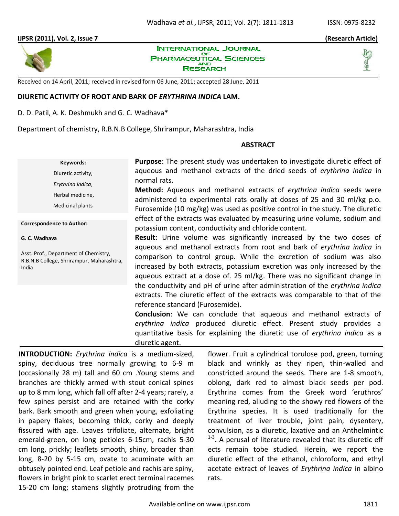# **IJPSR (2011), Vol. 2, Issue 7 (Research Article)**



**INTERNATIONAL JOURNAL** OF **PHARMACEUTICAL SCIENCES AND** RESEARCH



Received on 14 April, 2011; received in revised form 06 June, 2011; accepted 28 June, 2011

# **DIURETIC ACTIVITY OF ROOT AND BARK OF** *ERYTHRINA INDICA* **LAM.**

D. D. Patil, A. K. Deshmukh and G. C. Wadhava\*

Department of chemistry, R.B.N.B College, Shrirampur, Maharashtra, India

### **ABSTRACT**

**Keywords:** Diuretic activity, *Erythrina Indica*, Herbal medicine, Medicinal plants

**Correspondence to Author:**

#### **G. C. Wadhava**

Asst. Prof., Department of Chemistry, R.B.N.B College, Shrirampur, Maharashtra, India

**Purpose**: The present study was undertaken to investigate diuretic effect of aqueous and methanol extracts of the dried seeds of *erythrina indica* in normal rats.

**Method:** Aqueous and methanol extracts of *erythrina indica* seeds were administered to experimental rats orally at doses of 25 and 30 ml/kg p.o. Furosemide (10 mg/kg) was used as positive control in the study. The diuretic effect of the extracts was evaluated by measuring urine volume, sodium and potassium content, conductivity and chloride content.

**Result:** Urine volume was significantly increased by the two doses of aqueous and methanol extracts from root and bark of *erythrina indica* in comparison to control group. While the excretion of sodium was also increased by both extracts, potassium excretion was only increased by the aqueous extract at a dose of. 25 ml/kg. There was no significant change in the conductivity and pH of urine after administration of the *erythrina indica* extracts. The diuretic effect of the extracts was comparable to that of the reference standard (Furosemide).

**Conclusion**: We can conclude that aqueous and methanol extracts of *erythrina indica* produced diuretic effect. Present study provides a quantitative basis for explaining the diuretic use of *erythrina indica* as a diuretic agent.

**INTRODUCTION:** *Erythrina indica* is a medium-sized, spiny, deciduous tree normally growing to 6-9 m (occasionally 28 m) tall and 60 cm .Young stems and branches are thickly armed with stout conical spines up to 8 mm long, which fall off after 2-4 years; rarely, a few spines persist and are retained with the corky bark. Bark smooth and green when young, exfoliating in papery flakes, becoming thick, corky and deeply fissured with age. Leaves trifoliate, alternate, bright emerald-green, on long petioles 6-15cm, rachis 5-30 cm long, prickly; leaflets smooth, shiny, broader than long, 8-20 by 5-15 cm, ovate to acuminate with an obtusely pointed end. Leaf petiole and rachis are spiny, flowers in bright pink to scarlet erect terminal racemes 15-20 cm long; stamens slightly protruding from the flower. Fruit a cylindrical torulose pod, green, turning black and wrinkly as they ripen, thin-walled and constricted around the seeds. There are 1-8 smooth, oblong, dark red to almost black seeds per pod. Erythrina comes from the Greek word 'eruthros' meaning red, alluding to the showy red flowers of the Erythrina species. It is used traditionally for the treatment of liver trouble, joint pain, dysentery, convulsion, as a diuretic, laxative and an Anthelmintic  $1-3$ . A perusal of literature revealed that its diuretic eff ects remain tobe studied. Herein, we report the diuretic effect of the ethanol, chloroform, and ethyl acetate extract of leaves of *Erythrina indica* in albino rats.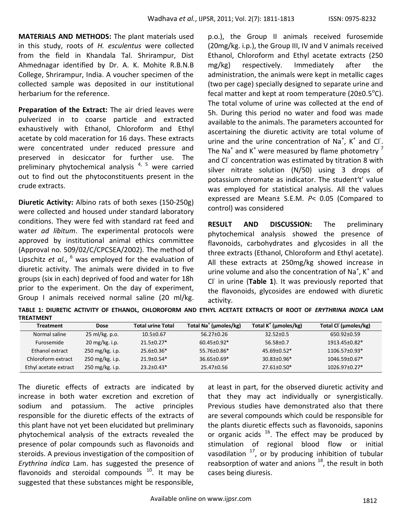**MATERIALS AND METHODS:** The plant materials used in this study, roots of *H. esculentus* were collected from the field in Khandala Tal. Shrirampur, Dist Ahmednagar identified by Dr. A. K. Mohite R.B.N.B College, Shrirampur, India. A voucher specimen of the collected sample was deposited in our institutional herbarium for the reference.

**Preparation of the Extract:** The air dried leaves were pulverized in to coarse particle and extracted exhaustively with Ethanol, Chloroform and Ethyl acetate by cold maceration for 16 days. These extracts were concentrated under reduced pressure and preserved in desiccator for further use. The preliminary phytochemical analysis  $4, 5$  were carried out to find out the phytoconstituents present in the crude extracts.

**Diuretic Activity:** Albino rats of both sexes (150-250g) were collected and housed under standard laboratory conditions. They were fed with standard rat feed and water *ad libitum*. The experimental protocols were approved by institutional animal ethics committee (Approval no. 509/02/C/CPCSEA/2002). The method of Lipschitz *et al.*, <sup>6</sup> was employed for the evaluation of diuretic activity. The animals were divided in to five groups (six in each) deprived of food and water for 18h prior to the experiment. On the day of experiment, Group I animals received normal saline (20 ml/kg.

p.o.), the Group II animals received furosemide (20mg/kg. i.p.), the Group III, IV and V animals received Ethanol, Chloroform and Ethyl acetate extracts (250 mg/kg) respectively. Immediately after the administration, the animals were kept in metallic cages (two per cage) specially designed to separate urine and fecal matter and kept at room temperature (20 $\pm$ 0.5 $\textdegree$ C). The total volume of urine was collected at the end of 5h. During this period no water and food was made available to the animals. The parameters accounted for ascertaining the diuretic activity are total volume of urine and the urine concentration of Na<sup>+</sup>, K<sup>+</sup> and Cl<sup>-</sup>. The Na<sup>+</sup> and K<sup>+</sup> were measured by flame photometry <sup>7</sup> and Cl<sup>-</sup> concentration was estimated by titration 8 with silver nitrate solution (N/50) using 3 drops of potassium chromate as indicator. The student't' value was employed for statistical analysis. All the values expressed are Mean± S.E.M. *P*< 0.05 (Compared to control) was considered

**RESULT AND DISCUSSION:** The preliminary phytochemical analysis showed the presence of flavonoids, carbohydrates and glycosides in all the three extracts (Ethanol, Chloroform and Ethyl acetate). All these extracts at 250mg/kg showed increase in urine volume and also the concentration of Na<sup>+</sup>, K<sup>+</sup> and Cl<sup>-</sup> in urine (Table 1). It was previously reported that the flavonoids, glycosides are endowed with diuretic activity.

**TABLE 1: DIURETIC ACTIVITY OF ETHANOL, CHLOROFORM AND ETHYL ACETATE EXTRACTS OF ROOT OF** *ERYTHRINA INDICA* **LAM TREATMENT**

| <b>Treatment</b>      | <b>Dose</b>               | <b>Total urine Total</b> | Total Na <sup>+</sup> (umoles/kg) | Total K <sup>+</sup> (µmoles/kg) | Total Cl (µmoles/kg) |
|-----------------------|---------------------------|--------------------------|-----------------------------------|----------------------------------|----------------------|
| Normal saline         | 25 ml/kg. p.o.            | $10.5 \pm 0.67$          | $56.27 \pm 0.26$                  | $32.52 \pm 0.5$                  | 650.92±0.59          |
| Furosemide            | $20 \text{ mg/kg}$ . i.p. | $21.5 + 0.27*$           | $60.45 + 0.92*$                   | 56.58+0.7                        | $1913.45 + 0.82*$    |
| Ethanol extract       | 250 mg/kg. i.p.           | $25.6 + 0.36*$           | $55.76 \pm 0.86*$                 | $45.69 + 0.52*$                  | $1106.57\pm0.93*$    |
| Chloroform extract    | 250 mg/kg. i.p.           | $21.9 + 0.54*$           | $36.65 \pm 0.69*$                 | $30.83 \pm 0.96*$                | $1046.59\pm0.67*$    |
| Ethyl acetate extract | 250 mg/kg. i.p.           | $23.2 + 0.43*$           | $25.47 \pm 0.56$                  | $27.61 + 0.50*$                  | $1026.97 + 0.27*$    |

The diuretic effects of extracts are indicated by increase in both water excretion and excretion of sodium and potassium. The active principles responsible for the diuretic effects of the extracts of this plant have not yet been elucidated but preliminary phytochemical analysis of the extracts revealed the presence of polar compounds such as flavonoids and steroids. A previous investigation of the composition of *Erythrina indica* Lam. has suggested the presence of flavonoids and steroidal compounds  $10$ . It may be suggested that these substances might be responsible,

at least in part, for the observed diuretic activity and that they may act individually or synergistically. Previous studies have demonstrated also that there are several compounds which could be responsible for the plants diuretic effects such as flavonoids, saponins or organic acids  $^{16}$ . The effect may be produced by stimulation of regional blood flow or initial vasodilation  $17$ , or by producing inhibition of tubular reabsorption of water and anions  $^{18}$ , the result in both cases being diuresis.